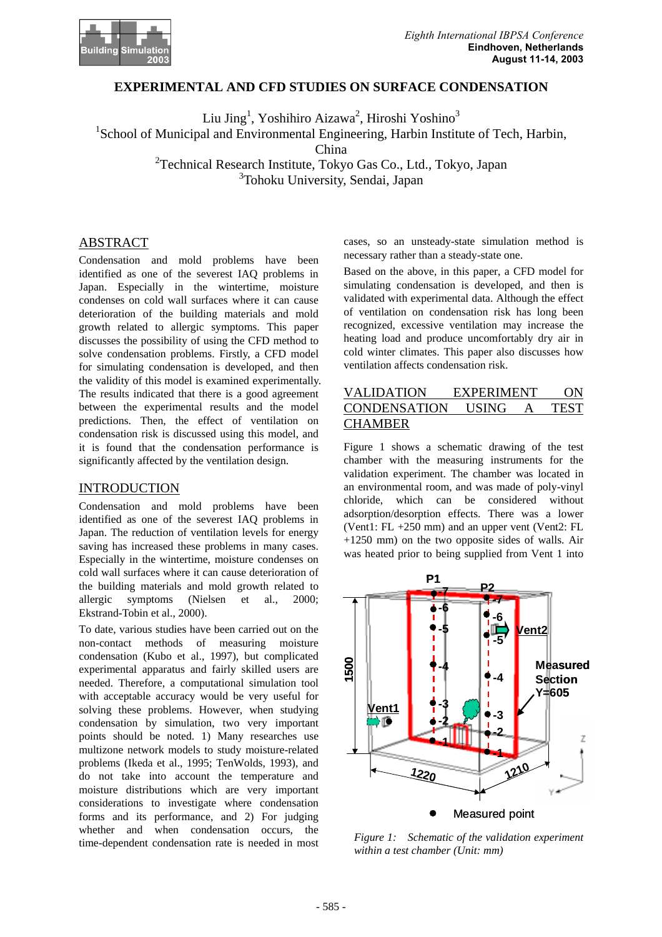

# **EXPERIMENTAL AND CFD STUDIES ON SURFACE CONDENSATION**

Liu Jing<sup>1</sup>, Yoshihiro Aizawa<sup>2</sup>, Hiroshi Yoshino<sup>3</sup> <sup>1</sup>School of Municipal and Environmental Engineering, Harbin Institute of Tech, Harbin, China

<sup>2</sup> Technical Research Institute, Tokyo Gas Co., Ltd., Tokyo, Japan 3 Tohoku University, Sendai, Japan

# ABSTRACT

Condensation and mold problems have been identified as one of the severest IAQ problems in Japan. Especially in the wintertime, moisture condenses on cold wall surfaces where it can cause deterioration of the building materials and mold growth related to allergic symptoms. This paper discusses the possibility of using the CFD method to solve condensation problems. Firstly, a CFD model for simulating condensation is developed, and then the validity of this model is examined experimentally. The results indicated that there is a good agreement between the experimental results and the model predictions. Then, the effect of ventilation on condensation risk is discussed using this model, and it is found that the condensation performance is significantly affected by the ventilation design.

# INTRODUCTION

Condensation and mold problems have been identified as one of the severest IAQ problems in Japan. The reduction of ventilation levels for energy saving has increased these problems in many cases. Especially in the wintertime, moisture condenses on cold wall surfaces where it can cause deterioration of the building materials and mold growth related to allergic symptoms (Nielsen et al., 2000; Ekstrand-Tobin et al., 2000).

To date, various studies have been carried out on the non-contact methods of measuring moisture condensation (Kubo et al., 1997), but complicated experimental apparatus and fairly skilled users are needed. Therefore, a computational simulation tool with acceptable accuracy would be very useful for solving these problems. However, when studying condensation by simulation, two very important points should be noted. 1) Many researches use multizone network models to study moisture-related problems (Ikeda et al., 1995; TenWolds, 1993), and do not take into account the temperature and moisture distributions which are very important considerations to investigate where condensation forms and its performance, and 2) For judging whether and when condensation occurs, the time-dependent condensation rate is needed in most

cases, so an unsteady-state simulation method is necessary rather than a steady-state one.

Based on the above, in this paper, a CFD model for simulating condensation is developed, and then is validated with experimental data. Although the effect of ventilation on condensation risk has long been recognized, excessive ventilation may increase the heating load and produce uncomfortably dry air in cold winter climates. This paper also discusses how ventilation affects condensation risk.

# VALIDATION EXPERIMENT ON CONDENSATION USING A TEST **CHAMBER**

Figure 1 shows a schematic drawing of the test chamber with the measuring instruments for the validation experiment. The chamber was located in an environmental room, and was made of poly-vinyl chloride, which can be considered without adsorption/desorption effects. There was a lower (Vent1: FL +250 mm) and an upper vent (Vent2: FL  $+1250$  mm) on the two opposite sides of walls. Air was heated prior to being supplied from Vent 1 into



*Figure 1: Schematic of the validation experiment within a test chamber (Unit: mm)*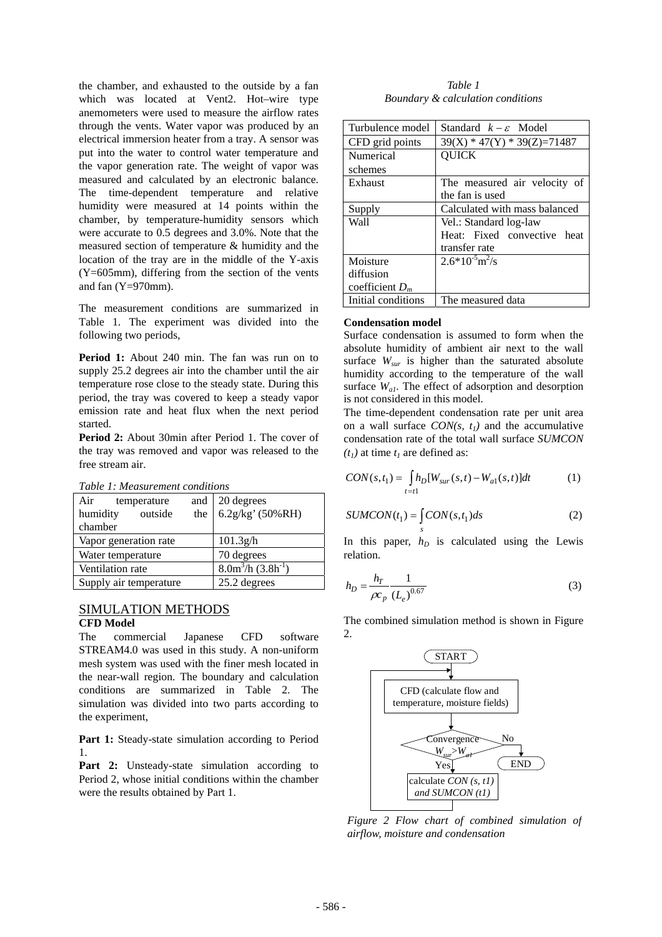the chamber, and exhausted to the outside by a fan which was located at Vent2. Hot–wire type anemometers were used to measure the airflow rates through the vents. Water vapor was produced by an electrical immersion heater from a tray. A sensor was put into the water to control water temperature and the vapor generation rate. The weight of vapor was measured and calculated by an electronic balance. The time-dependent temperature and relative humidity were measured at 14 points within the chamber, by temperature-humidity sensors which were accurate to 0.5 degrees and 3.0%. Note that the measured section of temperature & humidity and the location of the tray are in the middle of the Y-axis (Y=605mm), differing from the section of the vents and fan (Y=970mm).

The measurement conditions are summarized in Table 1. The experiment was divided into the following two periods,

**Period 1:** About 240 min. The fan was run on to supply 25.2 degrees air into the chamber until the air temperature rose close to the steady state. During this period, the tray was covered to keep a steady vapor emission rate and heat flux when the next period started.

**Period 2:** About 30min after Period 1. The cover of the tray was removed and vapor was released to the free stream air.

| таріє т. теазигететі сопатопу |     |                                  |
|-------------------------------|-----|----------------------------------|
| Air<br>temperature            | and | 20 degrees                       |
| humidity<br>outside           | the | $6.2$ g/kg' (50%RH)              |
| chamber                       |     |                                  |
| Vapor generation rate         |     | 101.3g/h                         |
| Water temperature             |     | 70 degrees                       |
| Ventilation rate              |     | $8.0m^3/h$ (3.8h <sup>-1</sup> ) |
| Supply air temperature        |     | 25.2 degrees                     |

*Table 1: Measurement conditions* 

# SIMULATION METHODS

#### **CFD Model**

The commercial Japanese CFD software STREAM4.0 was used in this study. A non-uniform mesh system was used with the finer mesh located in the near-wall region. The boundary and calculation conditions are summarized in Table 2. The simulation was divided into two parts according to the experiment,

Part 1: Steady-state simulation according to Period 1.

Part 2: Unsteady-state simulation according to Period 2, whose initial conditions within the chamber were the results obtained by Part 1.

*Table 1 Boundary & calculation conditions* 

| Turbulence model   | Standard $k - \varepsilon$ Model |
|--------------------|----------------------------------|
| CFD grid points    | $39(X) * 47(Y) * 39(Z) = 71487$  |
| Numerical          | OUICK                            |
| schemes            |                                  |
| Exhaust            | The measured air velocity of     |
|                    | the fan is used                  |
| Supply             | Calculated with mass balanced    |
| Wall               | Vel.: Standard log-law           |
|                    | Heat: Fixed convective heat      |
|                    | transfer rate                    |
| Moisture           | $2.6*10^{5}m^{2}/s$              |
| diffusion          |                                  |
| coefficient $D_m$  |                                  |
| Initial conditions | The measured data                |

### **Condensation model**

Surface condensation is assumed to form when the absolute humidity of ambient air next to the wall surface *Wsur* is higher than the saturated absolute humidity according to the temperature of the wall surface  $W_{aI}$ . The effect of adsorption and desorption is not considered in this model.

The time-dependent condensation rate per unit area on a wall surface  $CON(s, t_1)$  and the accumulative condensation rate of the total wall surface *SUMCON*   $(t<sub>1</sub>)$  at time  $t<sub>1</sub>$  are defined as:

$$
CON(s, t_1) = \int_{t=t_1}^{t_0} h_D[W_{sur}(s, t) - W_{a1}(s, t)]dt
$$
 (1)

$$
SUMCON(t_1) = \int_{s} CON(s, t_1) ds
$$
 (2)

In this paper,  $h<sub>D</sub>$  is calculated using the Lewis relation.

$$
h_D = \frac{h_T}{\rho c_p} \frac{1}{(L_e)^{0.67}}
$$
 (3)

The combined simulation method is shown in Figure 2.



*Figure 2 Flow chart of combined simulation of airflow, moisture and condensation*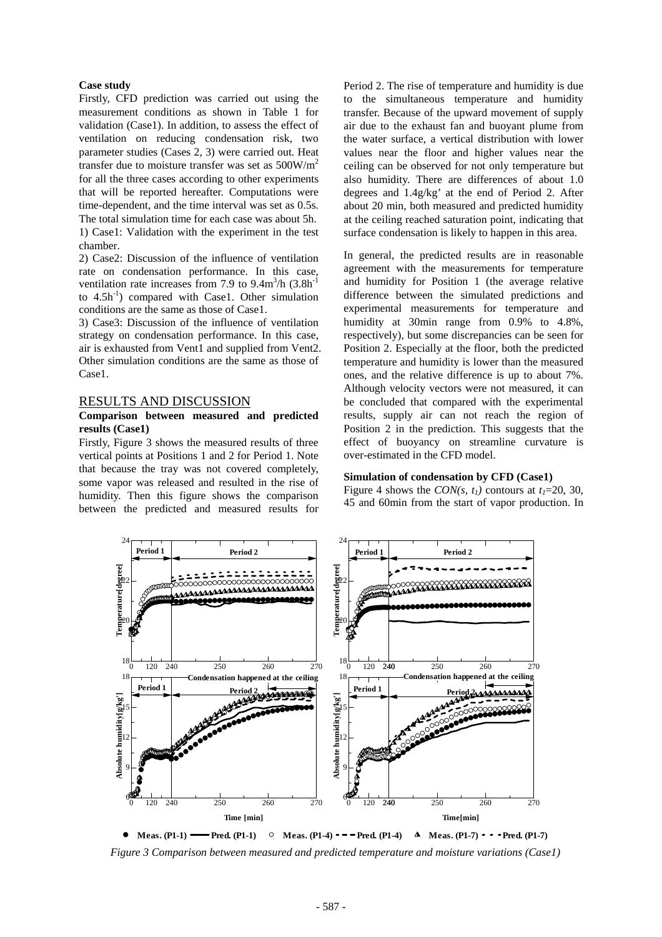#### **Case study**

Firstly, CFD prediction was carried out using the measurement conditions as shown in Table 1 for validation (Case1). In addition, to assess the effect of ventilation on reducing condensation risk, two parameter studies (Cases 2, 3) were carried out. Heat transfer due to moisture transfer was set as  $500W/m<sup>2</sup>$ for all the three cases according to other experiments that will be reported hereafter. Computations were time-dependent, and the time interval was set as 0.5s. The total simulation time for each case was about 5h. 1) Case1: Validation with the experiment in the test chamber.

2) Case2: Discussion of the influence of ventilation rate on condensation performance. In this case, ventilation rate increases from 7.9 to  $9.4 \text{m}^3/\text{h}$   $(3.8 \text{h}^{-1})$ to  $4.5h^{-1}$ ) compared with Case1. Other simulation conditions are the same as those of Case1.

3) Case3: Discussion of the influence of ventilation strategy on condensation performance. In this case, air is exhausted from Vent1 and supplied from Vent2. Other simulation conditions are the same as those of Case1.

# RESULTS AND DISCUSSION

## **Comparison between measured and predicted results (Case1)**

Firstly, Figure 3 shows the measured results of three vertical points at Positions 1 and 2 for Period 1. Note that because the tray was not covered completely, some vapor was released and resulted in the rise of humidity. Then this figure shows the comparison between the predicted and measured results for Period 2. The rise of temperature and humidity is due to the simultaneous temperature and humidity transfer. Because of the upward movement of supply air due to the exhaust fan and buoyant plume from the water surface, a vertical distribution with lower values near the floor and higher values near the ceiling can be observed for not only temperature but also humidity. There are differences of about 1.0 degrees and 1.4g/kg' at the end of Period 2. After about 20 min, both measured and predicted humidity at the ceiling reached saturation point, indicating that surface condensation is likely to happen in this area.

In general, the predicted results are in reasonable agreement with the measurements for temperature and humidity for Position 1 (the average relative difference between the simulated predictions and experimental measurements for temperature and humidity at 30min range from 0.9% to 4.8%, respectively), but some discrepancies can be seen for Position 2. Especially at the floor, both the predicted temperature and humidity is lower than the measured ones, and the relative difference is up to about 7%. Although velocity vectors were not measured, it can be concluded that compared with the experimental results, supply air can not reach the region of Position 2 in the prediction. This suggests that the effect of buoyancy on streamline curvature is over-estimated in the CFD model.

## **Simulation of condensation by CFD (Case1)**

Figure 4 shows the *CON(s, t<sub>1</sub>)* contours at  $t_1$ =20, 30, 45 and 60min from the start of vapor production. In



*Figure 3 Comparison between measured and predicted temperature and moisture variations (Case1)*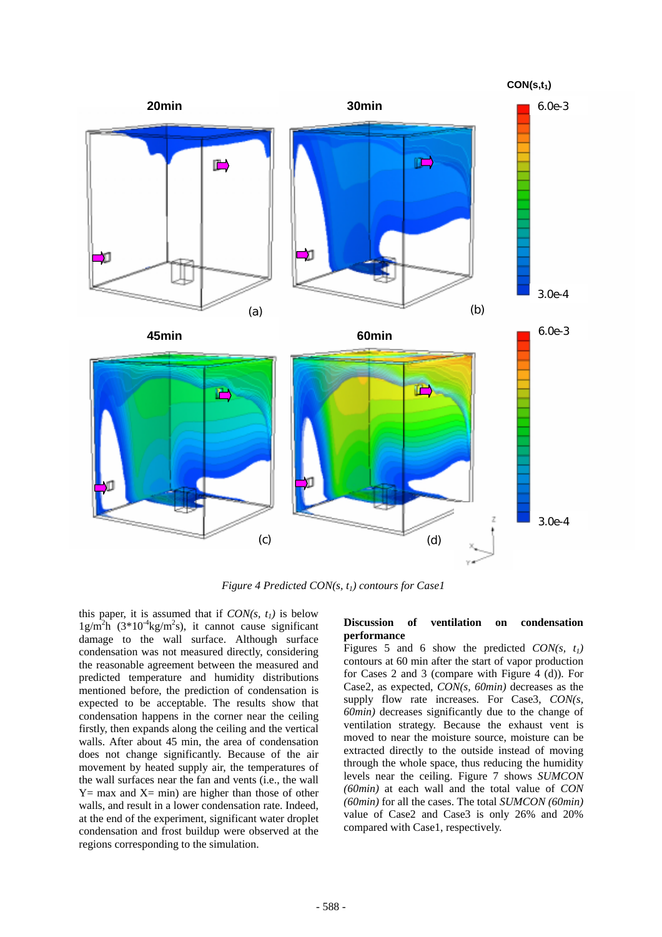

*Figure 4 Predicted CON(s, t<sub>1</sub>) contours for Case1* 

this paper, it is assumed that if  $CON(s, t_1)$  is below  $1g/m<sup>2</sup>h$  (3\*10<sup>-4</sup>kg/m<sup>2</sup>s), it cannot cause significant damage to the wall surface. Although surface condensation was not measured directly, considering the reasonable agreement between the measured and predicted temperature and humidity distributions mentioned before, the prediction of condensation is expected to be acceptable. The results show that condensation happens in the corner near the ceiling firstly, then expands along the ceiling and the vertical walls. After about 45 min, the area of condensation does not change significantly. Because of the air movement by heated supply air, the temperatures of the wall surfaces near the fan and vents (i.e., the wall  $Y=$  max and  $X=$  min) are higher than those of other walls, and result in a lower condensation rate. Indeed, at the end of the experiment, significant water droplet condensation and frost buildup were observed at the regions corresponding to the simulation.

## **Discussion of ventilation on condensation performance**

Figures 5 and 6 show the predicted  $CON(s, t_1)$ contours at 60 min after the start of vapor production for Cases 2 and 3 (compare with Figure 4 (d)). For Case2, as expected, *CON(s, 60min)* decreases as the supply flow rate increases. For Case3, *CON(s, 60min)* decreases significantly due to the change of ventilation strategy. Because the exhaust vent is moved to near the moisture source, moisture can be extracted directly to the outside instead of moving through the whole space, thus reducing the humidity levels near the ceiling. Figure 7 shows *SUMCON (60min)* at each wall and the total value of *CON (60min)* for all the cases. The total *SUMCON (60min)* value of Case2 and Case3 is only 26% and 20% compared with Case1, respectively.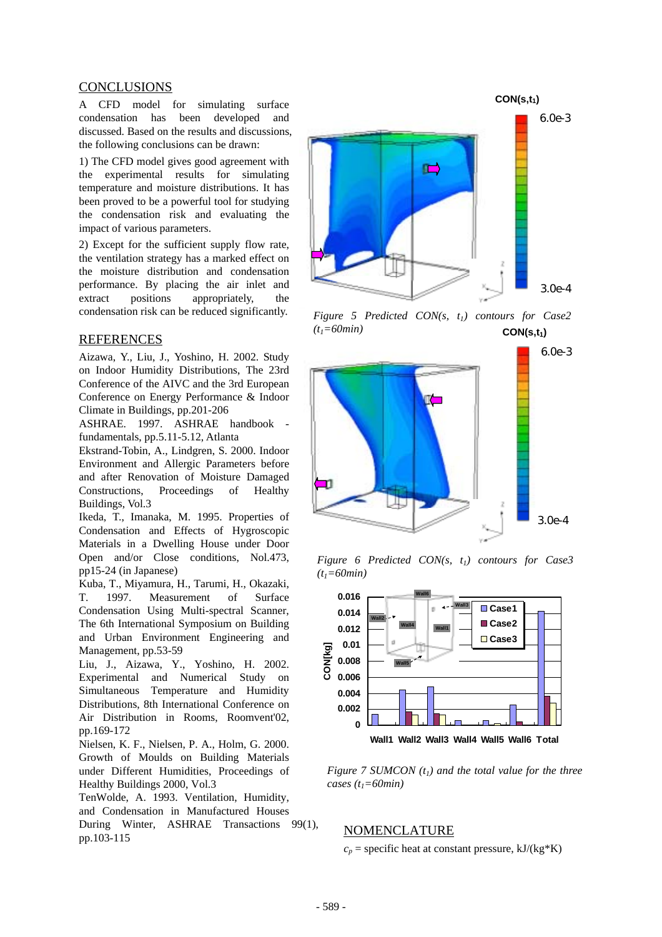# CONCLUSIONS

A CFD model for simulating surface condensation has been developed and discussed. Based on the results and discussions, the following conclusions can be drawn:

1) The CFD model gives good agreement with the experimental results for simulating temperature and moisture distributions. It has been proved to be a powerful tool for studying the condensation risk and evaluating the impact of various parameters.

2) Except for the sufficient supply flow rate, the ventilation strategy has a marked effect on the moisture distribution and condensation performance. By placing the air inlet and extract positions appropriately, the condensation risk can be reduced significantly.

## REFERENCES

Aizawa, Y., Liu, J., Yoshino, H. 2002. Study on Indoor Humidity Distributions, The 23rd Conference of the AIVC and the 3rd European Conference on Energy Performance & Indoor Climate in Buildings, pp.201-206

ASHRAE. 1997. ASHRAE handbook fundamentals, pp.5.11-5.12, Atlanta

Ekstrand-Tobin, A., Lindgren, S. 2000. Indoor Environment and Allergic Parameters before and after Renovation of Moisture Damaged Constructions, Proceedings of Healthy Buildings, Vol.3

Ikeda, T., Imanaka, M. 1995. Properties of Condensation and Effects of Hygroscopic Materials in a Dwelling House under Door Open and/or Close conditions, Nol.473, pp15-24 (in Japanese)

Kuba, T., Miyamura, H., Tarumi, H., Okazaki, T. 1997. Measurement of Surface Condensation Using Multi-spectral Scanner, The 6th International Symposium on Building and Urban Environment Engineering and Management, pp.53-59

Liu, J., Aizawa, Y., Yoshino, H. 2002. Experimental and Numerical Study on Simultaneous Temperature and Humidity Distributions, 8th International Conference on Air Distribution in Rooms, Roomvent'02, pp.169-172

Nielsen, K. F., Nielsen, P. A., Holm, G. 2000. Growth of Moulds on Building Materials under Different Humidities, Proceedings of Healthy Buildings 2000, Vol.3

TenWolde, A. 1993. Ventilation, Humidity, and Condensation in Manufactured Houses During Winter, ASHRAE Transactions 99(1),  $p_{\text{D}}$ ,  $p_{\text{D}}$ ,  $p_{\text{D}}$ ,  $p_{\text{D}}$ ,  $p_{\text{D}}$ ,  $p_{\text{D}}$ ,  $p_{\text{D}}$ ,  $p_{\text{D}}$ ,  $p_{\text{D}}$ ,  $p_{\text{D}}$ ,  $p_{\text{D}}$ ,  $p_{\text{D}}$ ,  $p_{\text{D}}$ ,  $p_{\text{D}}$ ,  $p_{\text{D}}$ ,  $p_{\text{D}}$ ,  $p_{\text{D}}$ ,  $p_{\text{D}}$ ,  $p_{\text{D}}$ ,  $p_{\text{D}}$ ,







*Figure 6 Predicted CON(s, t<sub>1</sub>) contours for Case3 (t1=60min)* 



*Figure 7 SUMCON*  $(t_1)$  and the total value for the three *cases (t1=60min)*

 $c_p$  = specific heat at constant pressure, kJ/(kg\*K)